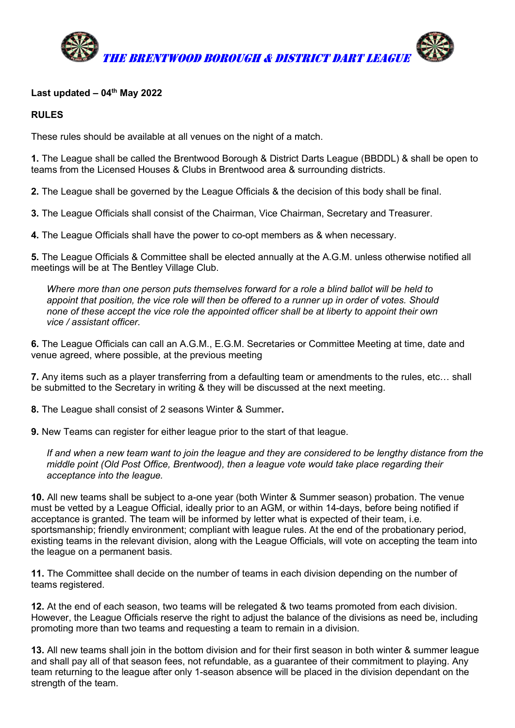

### Last updated  $-04$ <sup>th</sup> May 2022

### RULES

These rules should be available at all venues on the night of a match.

1. The League shall be called the Brentwood Borough & District Darts League (BBDDL) & shall be open to teams from the Licensed Houses & Clubs in Brentwood area & surrounding districts.

2. The League shall be governed by the League Officials & the decision of this body shall be final.

3. The League Officials shall consist of the Chairman, Vice Chairman, Secretary and Treasurer.

4. The League Officials shall have the power to co-opt members as & when necessary.

5. The League Officials & Committee shall be elected annually at the A.G.M. unless otherwise notified all meetings will be at The Bentley Village Club.

Where more than one person puts themselves forward for a role a blind ballot will be held to appoint that position, the vice role will then be offered to a runner up in order of votes. Should none of these accept the vice role the appointed officer shall be at liberty to appoint their own vice / assistant officer.

6. The League Officials can call an A.G.M., E.G.M. Secretaries or Committee Meeting at time, date and venue agreed, where possible, at the previous meeting

7. Any items such as a player transferring from a defaulting team or amendments to the rules, etc… shall be submitted to the Secretary in writing & they will be discussed at the next meeting.

8. The League shall consist of 2 seasons Winter & Summer.

9. New Teams can register for either league prior to the start of that league.

If and when a new team want to join the league and they are considered to be lengthy distance from the middle point (Old Post Office, Brentwood), then a league vote would take place regarding their acceptance into the league.

10. All new teams shall be subject to a-one year (both Winter & Summer season) probation. The venue must be vetted by a League Official, ideally prior to an AGM, or within 14-days, before being notified if acceptance is granted. The team will be informed by letter what is expected of their team, i.e. sportsmanship; friendly environment; compliant with league rules. At the end of the probationary period, existing teams in the relevant division, along with the League Officials, will vote on accepting the team into the league on a permanent basis.

11. The Committee shall decide on the number of teams in each division depending on the number of teams registered.

12. At the end of each season, two teams will be relegated & two teams promoted from each division. However, the League Officials reserve the right to adjust the balance of the divisions as need be, including promoting more than two teams and requesting a team to remain in a division.

13. All new teams shall join in the bottom division and for their first season in both winter & summer league and shall pay all of that season fees, not refundable, as a guarantee of their commitment to playing. Any team returning to the league after only 1-season absence will be placed in the division dependant on the strength of the team.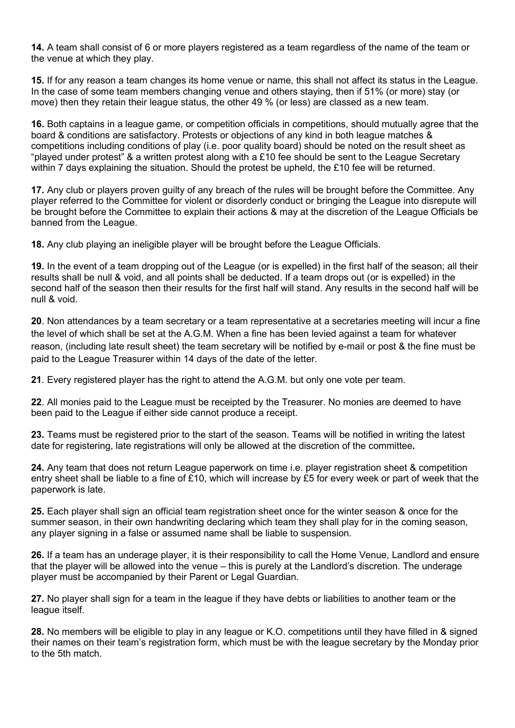14. A team shall consist of 6 or more players registered as a team regardless of the name of the team or the venue at which they play.

15. If for any reason a team changes its home venue or name, this shall not affect its status in the League. In the case of some team members changing venue and others staying, then if 51% (or more) stay (or move) then they retain their league status, the other 49 % (or less) are classed as a new team.

16. Both captains in a league game, or competition officials in competitions, should mutually agree that the board & conditions are satisfactory. Protests or objections of any kind in both league matches & competitions including conditions of play (i.e. poor quality board) should be noted on the result sheet as "played under protest" & a written protest along with a £10 fee should be sent to the League Secretary within 7 days explaining the situation. Should the protest be upheld, the £10 fee will be returned.

17. Any club or players proven guilty of any breach of the rules will be brought before the Committee. Any player referred to the Committee for violent or disorderly conduct or bringing the League into disrepute will be brought before the Committee to explain their actions & may at the discretion of the League Officials be banned from the League.

18. Any club playing an ineligible player will be brought before the League Officials.

19. In the event of a team dropping out of the League (or is expelled) in the first half of the season; all their results shall be null & void, and all points shall be deducted. If a team drops out (or is expelled) in the second half of the season then their results for the first half will stand. Any results in the second half will be null & void.

20. Non attendances by a team secretary or a team representative at a secretaries meeting will incur a fine the level of which shall be set at the A.G.M. When a fine has been levied against a team for whatever reason, (including late result sheet) the team secretary will be notified by e-mail or post & the fine must be paid to the League Treasurer within 14 days of the date of the letter.

21. Every registered player has the right to attend the A.G.M. but only one vote per team.

22. All monies paid to the League must be receipted by the Treasurer. No monies are deemed to have been paid to the League if either side cannot produce a receipt.

23. Teams must be registered prior to the start of the season. Teams will be notified in writing the latest date for registering, late registrations will only be allowed at the discretion of the committee.

24. Any team that does not return League paperwork on time i.e. player registration sheet & competition entry sheet shall be liable to a fine of £10, which will increase by £5 for every week or part of week that the paperwork is late.

25. Each player shall sign an official team registration sheet once for the winter season & once for the summer season, in their own handwriting declaring which team they shall play for in the coming season, any player signing in a false or assumed name shall be liable to suspension.

26. If a team has an underage player, it is their responsibility to call the Home Venue, Landlord and ensure that the player will be allowed into the venue – this is purely at the Landlord's discretion. The underage player must be accompanied by their Parent or Legal Guardian.

27. No player shall sign for a team in the league if they have debts or liabilities to another team or the league itself.

28. No members will be eligible to play in any league or K.O. competitions until they have filled in & signed their names on their team's registration form, which must be with the league secretary by the Monday prior to the 5th match.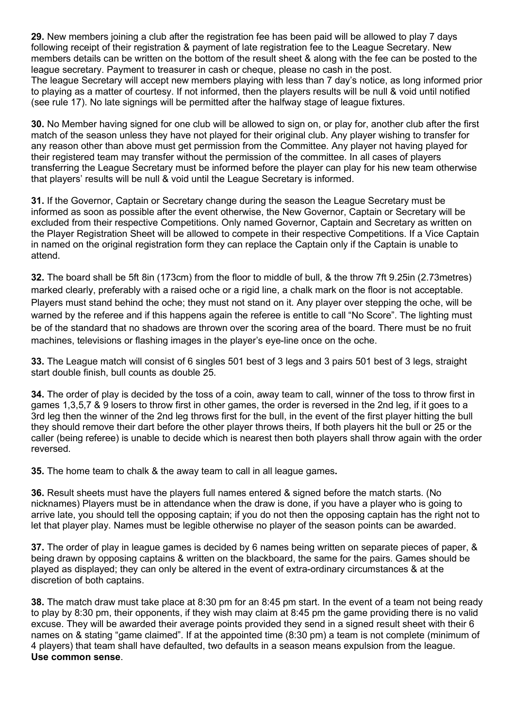29. New members joining a club after the registration fee has been paid will be allowed to play 7 days following receipt of their registration & payment of late registration fee to the League Secretary. New members details can be written on the bottom of the result sheet & along with the fee can be posted to the league secretary. Payment to treasurer in cash or cheque, please no cash in the post. The league Secretary will accept new members playing with less than 7 day's notice, as long informed prior to playing as a matter of courtesy. If not informed, then the players results will be null & void until notified (see rule 17). No late signings will be permitted after the halfway stage of league fixtures.

30. No Member having signed for one club will be allowed to sign on, or play for, another club after the first match of the season unless they have not played for their original club. Any player wishing to transfer for any reason other than above must get permission from the Committee. Any player not having played for their registered team may transfer without the permission of the committee. In all cases of players transferring the League Secretary must be informed before the player can play for his new team otherwise that players' results will be null & void until the League Secretary is informed.

31. If the Governor, Captain or Secretary change during the season the League Secretary must be informed as soon as possible after the event otherwise, the New Governor, Captain or Secretary will be excluded from their respective Competitions. Only named Governor, Captain and Secretary as written on the Player Registration Sheet will be allowed to compete in their respective Competitions. If a Vice Captain in named on the original registration form they can replace the Captain only if the Captain is unable to attend.

32. The board shall be 5ft 8in (173cm) from the floor to middle of bull, & the throw 7ft 9.25in (2.73metres) marked clearly, preferably with a raised oche or a rigid line, a chalk mark on the floor is not acceptable. Players must stand behind the oche; they must not stand on it. Any player over stepping the oche, will be warned by the referee and if this happens again the referee is entitle to call "No Score". The lighting must be of the standard that no shadows are thrown over the scoring area of the board. There must be no fruit machines, televisions or flashing images in the player's eye-line once on the oche.

33. The League match will consist of 6 singles 501 best of 3 legs and 3 pairs 501 best of 3 legs, straight start double finish, bull counts as double 25.

34. The order of play is decided by the toss of a coin, away team to call, winner of the toss to throw first in games 1,3,5,7 & 9 losers to throw first in other games, the order is reversed in the 2nd leg, if it goes to a 3rd leg then the winner of the 2nd leg throws first for the bull, in the event of the first player hitting the bull they should remove their dart before the other player throws theirs, If both players hit the bull or 25 or the caller (being referee) is unable to decide which is nearest then both players shall throw again with the order reversed.

35. The home team to chalk & the away team to call in all league games.

36. Result sheets must have the players full names entered & signed before the match starts. (No nicknames) Players must be in attendance when the draw is done, if you have a player who is going to arrive late, you should tell the opposing captain; if you do not then the opposing captain has the right not to let that player play. Names must be legible otherwise no player of the season points can be awarded.

37. The order of play in league games is decided by 6 names being written on separate pieces of paper, & being drawn by opposing captains & written on the blackboard, the same for the pairs. Games should be played as displayed; they can only be altered in the event of extra-ordinary circumstances & at the discretion of both captains.

38. The match draw must take place at 8:30 pm for an 8:45 pm start. In the event of a team not being ready to play by 8:30 pm, their opponents, if they wish may claim at 8:45 pm the game providing there is no valid excuse. They will be awarded their average points provided they send in a signed result sheet with their 6 names on & stating "game claimed". If at the appointed time (8:30 pm) a team is not complete (minimum of 4 players) that team shall have defaulted, two defaults in a season means expulsion from the league. Use common sense.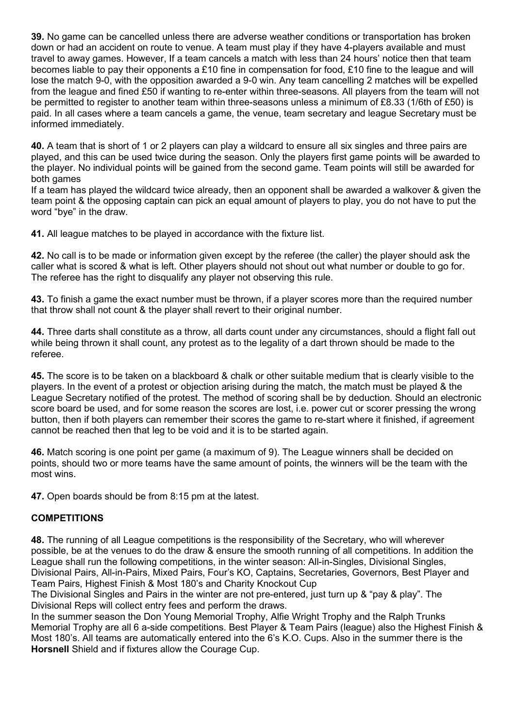39. No game can be cancelled unless there are adverse weather conditions or transportation has broken down or had an accident on route to venue. A team must play if they have 4-players available and must travel to away games. However, If a team cancels a match with less than 24 hours' notice then that team becomes liable to pay their opponents a £10 fine in compensation for food, £10 fine to the league and will lose the match 9-0, with the opposition awarded a 9-0 win. Any team cancelling 2 matches will be expelled from the league and fined £50 if wanting to re-enter within three-seasons. All players from the team will not be permitted to register to another team within three-seasons unless a minimum of £8.33 (1/6th of £50) is paid. In all cases where a team cancels a game, the venue, team secretary and league Secretary must be informed immediately.

40. A team that is short of 1 or 2 players can play a wildcard to ensure all six singles and three pairs are played, and this can be used twice during the season. Only the players first game points will be awarded to the player. No individual points will be gained from the second game. Team points will still be awarded for both games

If a team has played the wildcard twice already, then an opponent shall be awarded a walkover & given the team point & the opposing captain can pick an equal amount of players to play, you do not have to put the word "bye" in the draw.

41. All league matches to be played in accordance with the fixture list.

42. No call is to be made or information given except by the referee (the caller) the player should ask the caller what is scored & what is left. Other players should not shout out what number or double to go for. The referee has the right to disqualify any player not observing this rule.

43. To finish a game the exact number must be thrown, if a player scores more than the required number that throw shall not count & the player shall revert to their original number.

44. Three darts shall constitute as a throw, all darts count under any circumstances, should a flight fall out while being thrown it shall count, any protest as to the legality of a dart thrown should be made to the referee.

45. The score is to be taken on a blackboard & chalk or other suitable medium that is clearly visible to the players. In the event of a protest or objection arising during the match, the match must be played & the League Secretary notified of the protest. The method of scoring shall be by deduction. Should an electronic score board be used, and for some reason the scores are lost, i.e. power cut or scorer pressing the wrong button, then if both players can remember their scores the game to re-start where it finished, if agreement cannot be reached then that leg to be void and it is to be started again.

46. Match scoring is one point per game (a maximum of 9). The League winners shall be decided on points, should two or more teams have the same amount of points, the winners will be the team with the most wins.

47. Open boards should be from 8:15 pm at the latest.

## **COMPETITIONS**

48. The running of all League competitions is the responsibility of the Secretary, who will wherever possible, be at the venues to do the draw & ensure the smooth running of all competitions. In addition the League shall run the following competitions, in the winter season: All-in-Singles, Divisional Singles, Divisional Pairs, All-in-Pairs, Mixed Pairs, Four's KO, Captains, Secretaries, Governors, Best Player and Team Pairs, Highest Finish & Most 180's and Charity Knockout Cup

The Divisional Singles and Pairs in the winter are not pre-entered, just turn up & "pay & play". The Divisional Reps will collect entry fees and perform the draws.

In the summer season the Don Young Memorial Trophy, Alfie Wright Trophy and the Ralph Trunks Memorial Trophy are all 6 a-side competitions. Best Player & Team Pairs (league) also the Highest Finish & Most 180's. All teams are automatically entered into the 6's K.O. Cups. Also in the summer there is the Horsnell Shield and if fixtures allow the Courage Cup.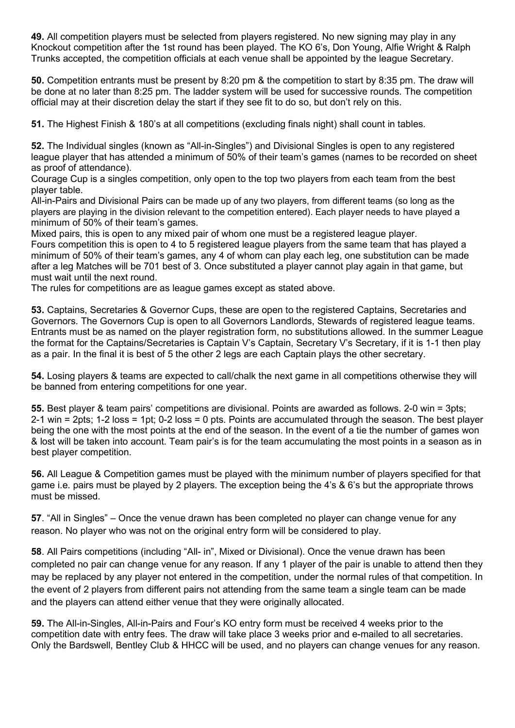49. All competition players must be selected from players registered. No new signing may play in any Knockout competition after the 1st round has been played. The KO 6's, Don Young, Alfie Wright & Ralph Trunks accepted, the competition officials at each venue shall be appointed by the league Secretary.

50. Competition entrants must be present by 8:20 pm & the competition to start by 8:35 pm. The draw will be done at no later than 8:25 pm. The ladder system will be used for successive rounds. The competition official may at their discretion delay the start if they see fit to do so, but don't rely on this.

51. The Highest Finish & 180's at all competitions (excluding finals night) shall count in tables.

52. The Individual singles (known as "All-in-Singles") and Divisional Singles is open to any registered league player that has attended a minimum of 50% of their team's games (names to be recorded on sheet as proof of attendance).

Courage Cup is a singles competition, only open to the top two players from each team from the best player table.

All-in-Pairs and Divisional Pairs can be made up of any two players, from different teams (so long as the players are playing in the division relevant to the competition entered). Each player needs to have played a minimum of 50% of their team's games.

Mixed pairs, this is open to any mixed pair of whom one must be a registered league player.

Fours competition this is open to 4 to 5 registered league players from the same team that has played a minimum of 50% of their team's games, any 4 of whom can play each leg, one substitution can be made after a leg Matches will be 701 best of 3. Once substituted a player cannot play again in that game, but must wait until the next round.

The rules for competitions are as league games except as stated above.

53. Captains, Secretaries & Governor Cups, these are open to the registered Captains, Secretaries and Governors. The Governors Cup is open to all Governors Landlords, Stewards of registered league teams. Entrants must be as named on the player registration form, no substitutions allowed. In the summer League the format for the Captains/Secretaries is Captain V's Captain, Secretary V's Secretary, if it is 1-1 then play as a pair. In the final it is best of 5 the other 2 legs are each Captain plays the other secretary.

54. Losing players & teams are expected to call/chalk the next game in all competitions otherwise they will be banned from entering competitions for one year.

55. Best player & team pairs' competitions are divisional. Points are awarded as follows. 2-0 win = 3pts; 2-1 win = 2pts; 1-2 loss = 1pt; 0-2 loss = 0 pts. Points are accumulated through the season. The best player being the one with the most points at the end of the season. In the event of a tie the number of games won & lost will be taken into account. Team pair's is for the team accumulating the most points in a season as in best player competition.

56. All League & Competition games must be played with the minimum number of players specified for that game i.e. pairs must be played by 2 players. The exception being the 4's & 6's but the appropriate throws must be missed.

57. "All in Singles" – Once the venue drawn has been completed no player can change venue for any reason. No player who was not on the original entry form will be considered to play.

58. All Pairs competitions (including "All- in", Mixed or Divisional). Once the venue drawn has been completed no pair can change venue for any reason. If any 1 player of the pair is unable to attend then they may be replaced by any player not entered in the competition, under the normal rules of that competition. In the event of 2 players from different pairs not attending from the same team a single team can be made and the players can attend either venue that they were originally allocated.

59. The All-in-Singles, All-in-Pairs and Four's KO entry form must be received 4 weeks prior to the competition date with entry fees. The draw will take place 3 weeks prior and e-mailed to all secretaries. Only the Bardswell, Bentley Club & HHCC will be used, and no players can change venues for any reason.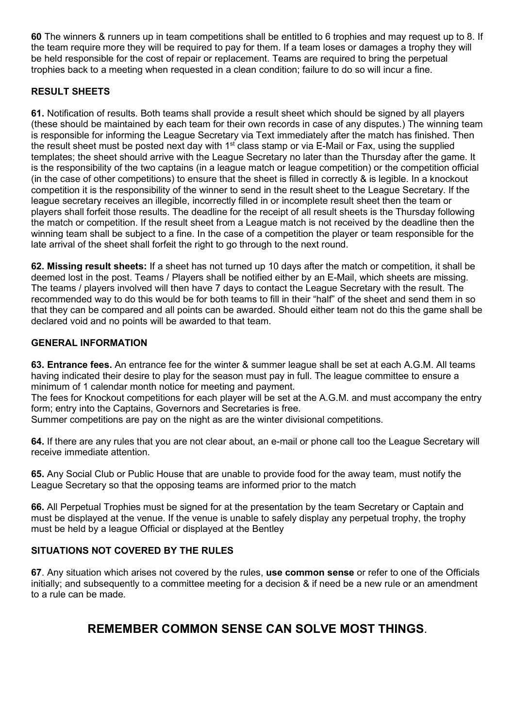60 The winners & runners up in team competitions shall be entitled to 6 trophies and may request up to 8. If the team require more they will be required to pay for them. If a team loses or damages a trophy they will be held responsible for the cost of repair or replacement. Teams are required to bring the perpetual trophies back to a meeting when requested in a clean condition; failure to do so will incur a fine.

# RESULT SHEETS

61. Notification of results. Both teams shall provide a result sheet which should be signed by all players (these should be maintained by each team for their own records in case of any disputes.) The winning team is responsible for informing the League Secretary via Text immediately after the match has finished. Then the result sheet must be posted next day with  $1<sup>st</sup>$  class stamp or via E-Mail or Fax, using the supplied templates; the sheet should arrive with the League Secretary no later than the Thursday after the game. It is the responsibility of the two captains (in a league match or league competition) or the competition official (in the case of other competitions) to ensure that the sheet is filled in correctly & is legible. In a knockout competition it is the responsibility of the winner to send in the result sheet to the League Secretary. If the league secretary receives an illegible, incorrectly filled in or incomplete result sheet then the team or players shall forfeit those results. The deadline for the receipt of all result sheets is the Thursday following the match or competition. If the result sheet from a League match is not received by the deadline then the winning team shall be subject to a fine. In the case of a competition the player or team responsible for the late arrival of the sheet shall forfeit the right to go through to the next round.

62. Missing result sheets: If a sheet has not turned up 10 days after the match or competition, it shall be deemed lost in the post. Teams / Players shall be notified either by an E-Mail, which sheets are missing. The teams / players involved will then have 7 days to contact the League Secretary with the result. The recommended way to do this would be for both teams to fill in their "half" of the sheet and send them in so that they can be compared and all points can be awarded. Should either team not do this the game shall be declared void and no points will be awarded to that team.

## GENERAL INFORMATION

63. Entrance fees. An entrance fee for the winter & summer league shall be set at each A.G.M. All teams having indicated their desire to play for the season must pay in full. The league committee to ensure a minimum of 1 calendar month notice for meeting and payment.

The fees for Knockout competitions for each player will be set at the A.G.M. and must accompany the entry form; entry into the Captains, Governors and Secretaries is free.

Summer competitions are pay on the night as are the winter divisional competitions.

64. If there are any rules that you are not clear about, an e-mail or phone call too the League Secretary will receive immediate attention.

65. Any Social Club or Public House that are unable to provide food for the away team, must notify the League Secretary so that the opposing teams are informed prior to the match

66. All Perpetual Trophies must be signed for at the presentation by the team Secretary or Captain and must be displayed at the venue. If the venue is unable to safely display any perpetual trophy, the trophy must be held by a league Official or displayed at the Bentley

## SITUATIONS NOT COVERED BY THE RULES

67. Any situation which arises not covered by the rules, use common sense or refer to one of the Officials initially; and subsequently to a committee meeting for a decision & if need be a new rule or an amendment to a rule can be made.

# REMEMBER COMMON SENSE CAN SOLVE MOST THINGS.